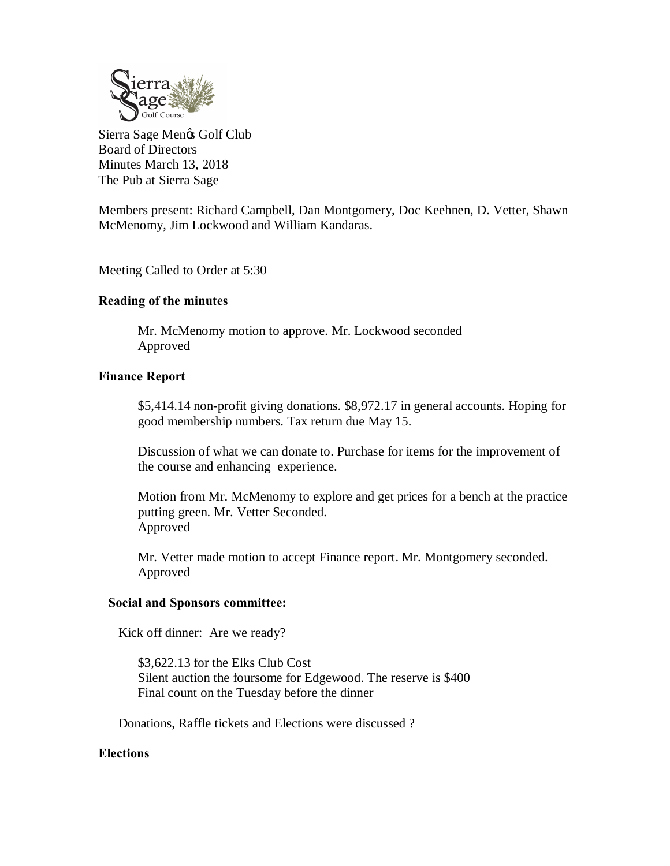

Sierra Sage Men $\otimes$  Golf Club Board of Directors Minutes March 13, 2018 The Pub at Sierra Sage

Members present: Richard Campbell, Dan Montgomery, Doc Keehnen, D. Vetter, Shawn McMenomy, Jim Lockwood and William Kandaras.

Meeting Called to Order at 5:30

## **Reading of the minutes**

Mr. McMenomy motion to approve. Mr. Lockwood seconded Approved

# **Finance Report**

\$5,414.14 non-profit giving donations. \$8,972.17 in general accounts. Hoping for good membership numbers. Tax return due May 15.

Discussion of what we can donate to. Purchase for items for the improvement of the course and enhancing experience.

Motion from Mr. McMenomy to explore and get prices for a bench at the practice putting green. Mr. Vetter Seconded. Approved

Mr. Vetter made motion to accept Finance report. Mr. Montgomery seconded. Approved

## **Social and Sponsors committee:**

Kick off dinner: Are we ready?

\$3,622.13 for the Elks Club Cost Silent auction the foursome for Edgewood. The reserve is \$400 Final count on the Tuesday before the dinner

Donations, Raffle tickets and Elections were discussed ?

## **Elections**